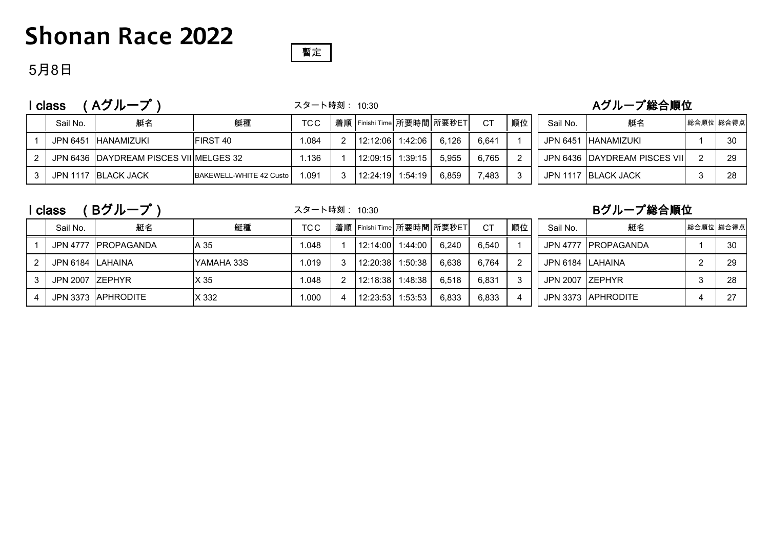## **Shonan Race 2022**



### 5月8日

### I class (Aグループ) フタート時刻: 10:30 インスタート はんしょう Aグループ総合順位

スタート時刻: 10:30

| Sail No. | 艇名                                      | 艇種                      | <b>TCC</b> |  | 着順   Finishi Time   所要時間   所要秒ET |       | СT    | 順位 | Sail No. | 艇名                            | 総合順位 総合得点 |
|----------|-----------------------------------------|-------------------------|------------|--|----------------------------------|-------|-------|----|----------|-------------------------------|-----------|
| JPN 6451 | IHANAMIZUKI                             | <b>FIRST 40</b>         | .084       |  | 12:12:06 1:42:06                 | 6.126 | 6.641 |    | JPN 6451 | <b>IHANAMIZUKI</b>            | -30       |
|          | JPN 6436 IDAYDREAM PISCES VIIIMELGES 32 |                         | .136       |  | 12:09:15 1:39:15                 | 5.955 | 6.765 |    |          | JPN 6436 DAYDREAM PISCES VIII | -29       |
|          | JPN 1117 BLACK JACK                     | BAKEWELL-WHITE 42 Custo | .091       |  | 12:24:19 1:54:19                 | 6.859 | .483  |    |          | JPN 1117 BLACK JACK           |           |

|   | class            | Bグループ                |            | スタート時刻: 10:30<br>着順   Finishi Time   所要時間   所要秒ET  <br>順位<br><b>CT</b><br><b>TCC</b> |  |          |         |       |       |  |                   | Bグループ総合順位            |           |
|---|------------------|----------------------|------------|--------------------------------------------------------------------------------------|--|----------|---------|-------|-------|--|-------------------|----------------------|-----------|
|   | Sail No.         | 艇名                   | 艇種         |                                                                                      |  |          |         |       |       |  | Sail No.          | 艇名                   | 総合順位 総合得点 |
|   |                  | JPN 4777 IPROPAGANDA | A 35       | 1.048                                                                                |  | 12:14:00 | 1:44:00 | 6.240 | 6.540 |  |                   | JPN 4777 IPROPAGANDA | 30        |
| 2 | JPN 6184 LAHAINA |                      | YAMAHA 33S | 1.019                                                                                |  | 12:20:38 | 1:50:38 | 6.638 | 6.764 |  | JPN 6184 ILAHAINA |                      | 29        |
|   | JPN 2007 ZEPHYR  |                      | X 35       | 1.048                                                                                |  | 12:18:38 | 1:48:38 | 6.518 | 6.831 |  | JPN 2007 ZEPHYR   |                      | -28       |
|   |                  | JPN 3373 APHRODITE   | X 332      | 000.1                                                                                |  | 12:23:53 | 1:53:53 | 6.833 | 6.833 |  |                   | JPN 3373   APHRODITE | 07        |